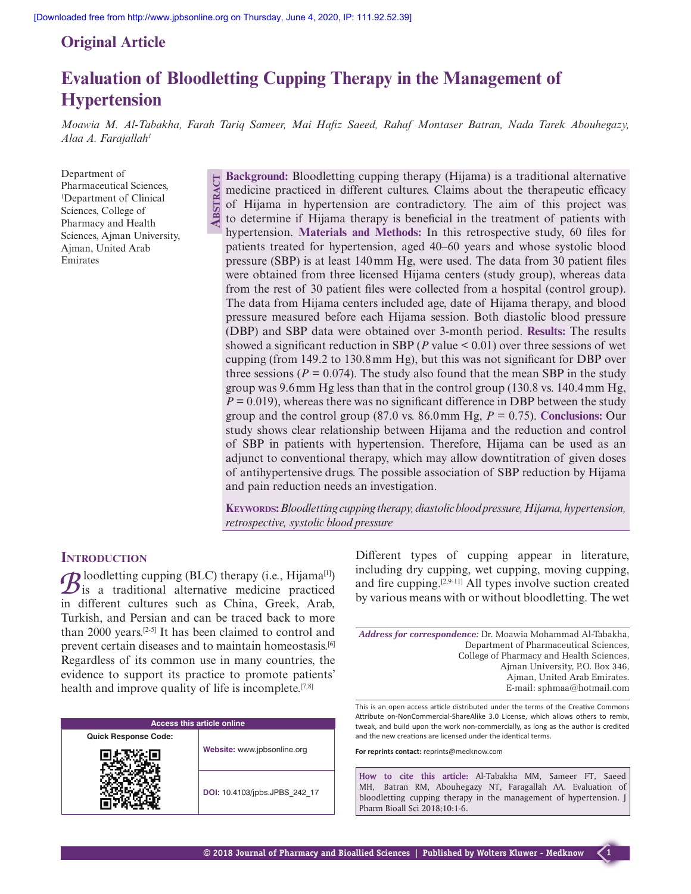# **Original Article**

# **Evaluation of Bloodletting Cupping Therapy in the Management of Hypertension**

*Moawia M. Al-Tabakha, Farah Tariq Sameer, Mai Hafiz Saeed, Rahaf Montaser Batran, Nada Tarek Abouhegazy, Alaa A. Farajallah1*

Department of Pharmaceutical Sciences, 1 Department of Clinical Sciences, College of Pharmacy and Health Sciences, Ajman University, Ajman, United Arab Emirates

**Abstr act Background:** Bloodletting cupping therapy (Hijama) is a traditional alternative medicine practiced in different cultures. Claims about the therapeutic efficacy of Hijama in hypertension are contradictory. The aim of this project was to determine if Hijama therapy is beneficial in the treatment of patients with hypertension. **Materials and Methods:** In this retrospective study, 60 files for patients treated for hypertension, aged 40–60 years and whose systolic blood pressure (SBP) is at least 140mm Hg, were used. The data from 30 patient files were obtained from three licensed Hijama centers (study group), whereas data from the rest of 30 patient files were collected from a hospital (control group). The data from Hijama centers included age, date of Hijama therapy, and blood pressure measured before each Hijama session. Both diastolic blood pressure (DBP) and SBP data were obtained over 3-month period. **Results:** The results showed a significant reduction in SBP ( $P$  value  $\leq 0.01$ ) over three sessions of wet cupping (from 149.2 to 130.8mm Hg), but this was not significant for DBP over three sessions ( $P = 0.074$ ). The study also found that the mean SBP in the study group was 9.6mm Hg less than that in the control group (130.8 vs. 140.4mm Hg,  $P = 0.019$ , whereas there was no significant difference in DBP between the study group and the control group (87.0 vs. 86.0mm Hg,  $P = 0.75$ ). **Conclusions:** Our study shows clear relationship between Hijama and the reduction and control of SBP in patients with hypertension. Therefore, Hijama can be used as an adjunct to conventional therapy, which may allow downtitration of given doses of antihypertensive drugs. The possible association of SBP reduction by Hijama and pain reduction needs an investigation.

**Keywords:** *Bloodletting cupping therapy, diastolic blood pressure, Hijama, hypertension, retrospective, systolic blood pressure*

## **INTRODUCTION**

 $B$ <sup>loodletting cupping (BLC) therapy (i.e., Hijama<sup>[1]</sup>) is a traditional alternative medicine practiced</sup> in different cultures such as China, Greek, Arab, Turkish, and Persian and can be traced back to more than 2000 years.<sup>[2-5]</sup> It has been claimed to control and prevent certain diseases and to maintain homeostasis.[6] Regardless of its common use in many countries, the evidence to support its practice to promote patients' health and improve quality of life is incomplete.<sup>[7,8]</sup>

| <b>Access this article online</b> |                               |  |
|-----------------------------------|-------------------------------|--|
| <b>Quick Response Code:</b>       |                               |  |
|                                   | Website: www.jpbsonline.org   |  |
|                                   | DOI: 10.4103/jpbs.JPBS 242 17 |  |

Different types of cupping appear in literature, including dry cupping, wet cupping, moving cupping, and fire cupping.[2,9-11] All types involve suction created by various means with or without bloodletting. The wet

*Address for correspondence:* Dr. Moawia Mohammad Al-Tabakha, Department of Pharmaceutical Sciences, College of Pharmacy and Health Sciences, Ajman University, P.O. Box 346, Ajman, United Arab Emirates. E-mail: sphmaa@hotmail.com

This is an open access article distributed under the terms of the Creative Commons Attribute on-NonCommercial-ShareAlike 3.0 License, which allows others to remix, tweak, and build upon the work non-commercially, as long as the author is credited and the new creations are licensed under the identical terms.

**For reprints contact:** reprints@medknow.com

**How to cite this article:** Al-Tabakha MM, Sameer FT, Saeed MH, Batran RM, Abouhegazy NT, Faragallah AA. Evaluation of bloodletting cupping therapy in the management of hypertension. J Pharm Bioall Sci 2018;10:1-6.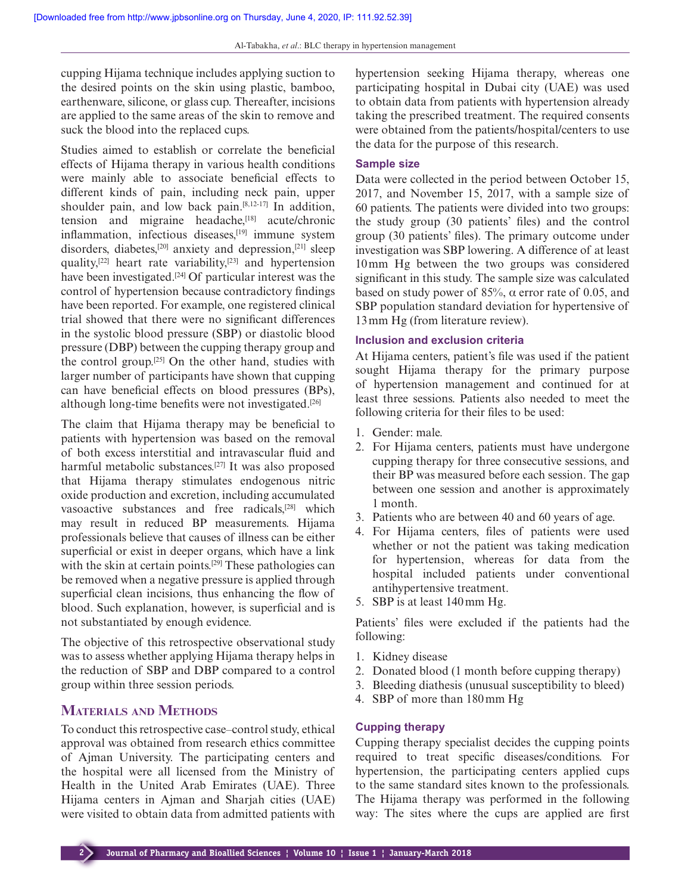cupping Hijama technique includes applying suction to the desired points on the skin using plastic, bamboo, earthenware, silicone, or glass cup. Thereafter, incisions are applied to the same areas of the skin to remove and suck the blood into the replaced cups.

Studies aimed to establish or correlate the beneficial effects of Hijama therapy in various health conditions were mainly able to associate beneficial effects to different kinds of pain, including neck pain, upper shoulder pain, and low back pain. $[8,12-17]$  In addition, tension and migraine headache,<sup>[18]</sup> acute/chronic inflammation, infectious diseases,<sup>[19]</sup> immune system disorders, diabetes,<sup>[20]</sup> anxiety and depression,<sup>[21]</sup> sleep quality,<sup>[22]</sup> heart rate variability,<sup>[23]</sup> and hypertension have been investigated.[24] Of particular interest was the control of hypertension because contradictory findings have been reported. For example, one registered clinical trial showed that there were no significant differences in the systolic blood pressure (SBP) or diastolic blood pressure (DBP) between the cupping therapy group and the control group.[25] On the other hand, studies with larger number of participants have shown that cupping can have beneficial effects on blood pressures (BPs), although long-time benefits were not investigated.[26]

The claim that Hijama therapy may be beneficial to patients with hypertension was based on the removal of both excess interstitial and intravascular fluid and harmful metabolic substances.[27] It was also proposed that Hijama therapy stimulates endogenous nitric oxide production and excretion, including accumulated vasoactive substances and free radicals,<sup>[28]</sup> which may result in reduced BP measurements. Hijama professionals believe that causes of illness can be either superficial or exist in deeper organs, which have a link with the skin at certain points.<sup>[29]</sup> These pathologies can be removed when a negative pressure is applied through superficial clean incisions, thus enhancing the flow of blood. Such explanation, however, is superficial and is not substantiated by enough evidence.

The objective of this retrospective observational study was to assess whether applying Hijama therapy helps in the reduction of SBP and DBP compared to a control group within three session periods.

## **Materials and Methods**

To conduct this retrospective case–control study, ethical approval was obtained from research ethics committee of Ajman University. The participating centers and the hospital were all licensed from the Ministry of Health in the United Arab Emirates (UAE). Three Hijama centers in Ajman and Sharjah cities (UAE) were visited to obtain data from admitted patients with hypertension seeking Hijama therapy, whereas one participating hospital in Dubai city (UAE) was used to obtain data from patients with hypertension already taking the prescribed treatment. The required consents were obtained from the patients/hospital/centers to use the data for the purpose of this research.

### **Sample size**

Data were collected in the period between October 15, 2017, and November 15, 2017, with a sample size of 60 patients. The patients were divided into two groups: the study group (30 patients' files) and the control group (30 patients' files). The primary outcome under investigation was SBP lowering. A difference of at least 10mm Hg between the two groups was considered significant in this study. The sample size was calculated based on study power of 85%,  $\alpha$  error rate of 0.05, and SBP population standard deviation for hypertensive of 13mm Hg (from literature review).

## **Inclusion and exclusion criteria**

At Hijama centers, patient's file was used if the patient sought Hijama therapy for the primary purpose of hypertension management and continued for at least three sessions. Patients also needed to meet the following criteria for their files to be used:

- 1. Gender: male.
- 2. For Hijama centers, patients must have undergone cupping therapy for three consecutive sessions, and their BP was measured before each session. The gap between one session and another is approximately 1 month.
- 3. Patients who are between 40 and 60 years of age.
- 4. For Hijama centers, files of patients were used whether or not the patient was taking medication for hypertension, whereas for data from the hospital included patients under conventional antihypertensive treatment.
- 5. SBP is at least 140mm Hg.

Patients' files were excluded if the patients had the following:

- 1. Kidney disease
- 2. Donated blood (1 month before cupping therapy)
- 3. Bleeding diathesis (unusual susceptibility to bleed)
- 4. SBP of more than 180mm Hg

### **Cupping therapy**

Cupping therapy specialist decides the cupping points required to treat specific diseases/conditions. For hypertension, the participating centers applied cups to the same standard sites known to the professionals. The Hijama therapy was performed in the following way: The sites where the cups are applied are first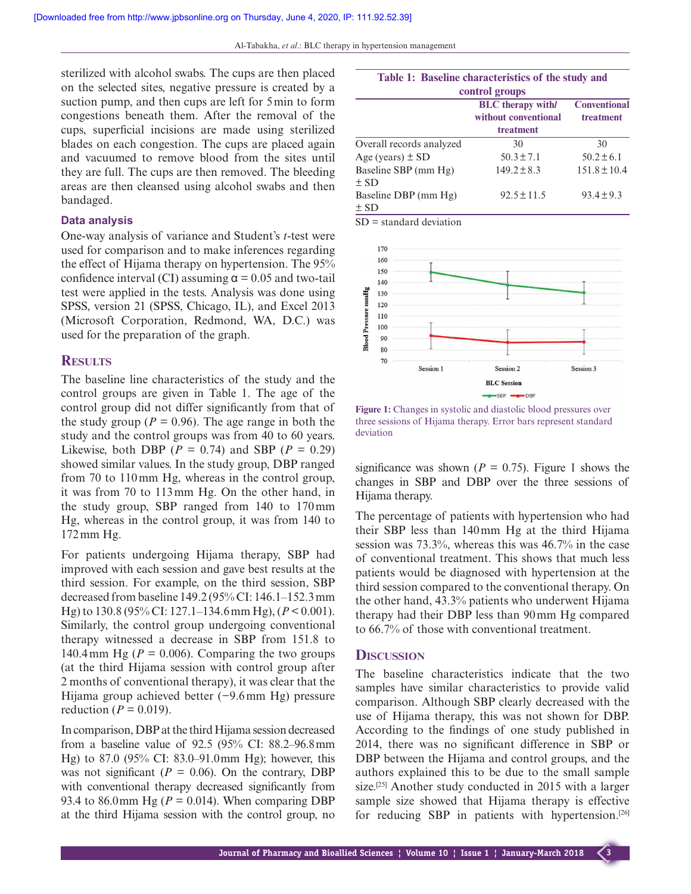sterilized with alcohol swabs. The cups are then placed on the selected sites, negative pressure is created by a suction pump, and then cups are left for 5min to form congestions beneath them. After the removal of the cups, superficial incisions are made using sterilized blades on each congestion. The cups are placed again and vacuumed to remove blood from the sites until they are full. The cups are then removed. The bleeding areas are then cleansed using alcohol swabs and then bandaged.

## **Data analysis**

One-way analysis of variance and Student's *t*-test were used for comparison and to make inferences regarding the effect of Hijama therapy on hypertension. The 95% confidence interval (CI) assuming  $\alpha$  = 0.05 and two-tail test were applied in the tests. Analysis was done using SPSS, version 21 (SPSS, Chicago, IL), and Excel 2013 (Microsoft Corporation, Redmond, WA, D.C.) was used for the preparation of the graph.

## **Results**

The baseline line characteristics of the study and the control groups are given in Table 1. The age of the control group did not differ significantly from that of the study group ( $P = 0.96$ ). The age range in both the study and the control groups was from 40 to 60 years. Likewise, both DBP ( $P = 0.74$ ) and SBP ( $P = 0.29$ ) showed similar values. In the study group, DBP ranged from 70 to 110mm Hg, whereas in the control group, it was from 70 to 113mm Hg. On the other hand, in the study group, SBP ranged from 140 to 170mm Hg, whereas in the control group, it was from 140 to 172mm Hg.

For patients undergoing Hijama therapy, SBP had improved with each session and gave best results at the third session. For example, on the third session, SBP decreased from baseline 149.2 (95% CI: 146.1–152.3mm Hg) to 130.8 (95% CI: 127.1–134.6mm Hg), (*P* < 0.001). Similarly, the control group undergoing conventional therapy witnessed a decrease in SBP from 151.8 to 140.4 mm Hg ( $P = 0.006$ ). Comparing the two groups (at the third Hijama session with control group after 2 months of conventional therapy), it was clear that the Hijama group achieved better (−9.6mm Hg) pressure reduction ( $P = 0.019$ ).

In comparison, DBP at the third Hijama session decreased from a baseline value of 92.5 (95% CI: 88.2–96.8mm Hg) to 87.0 (95% CI: 83.0–91.0mm Hg); however, this was not significant ( $P = 0.06$ ). On the contrary, DBP with conventional therapy decreased significantly from 93.4 to 86.0mm Hg ( $P = 0.014$ ). When comparing DBP at the third Hijama session with the control group, no

| Table 1: Baseline characteristics of the study and |                                                               |                                  |  |
|----------------------------------------------------|---------------------------------------------------------------|----------------------------------|--|
| control groups                                     |                                                               |                                  |  |
|                                                    | <b>BLC</b> therapy with/<br>without conventional<br>treatment | <b>Conventional</b><br>treatment |  |
| Overall records analyzed                           | 30                                                            | 30                               |  |
| Age (years) $\pm$ SD                               | $50.3 \pm 7.1$                                                | $50.2 \pm 6.1$                   |  |
| Baseline SBP (mm Hg)<br>$\pm$ SD                   | $149.2 \pm 8.3$                                               | $151.8 \pm 10.4$                 |  |
| Baseline DBP (mm Hg)<br>$\pm$ SD                   | $92.5 \pm 11.5$                                               | $93.4 \pm 9.3$                   |  |
|                                                    |                                                               |                                  |  |

SD = standard deviation



**Figure 1:** Changes in systolic and diastolic blood pressures over three sessions of Hijama therapy. Error bars represent standard deviation

significance was shown ( $P = 0.75$ ). Figure 1 shows the changes in SBP and DBP over the three sessions of Hijama therapy.

The percentage of patients with hypertension who had their SBP less than 140mm Hg at the third Hijama session was 73.3%, whereas this was 46.7% in the case of conventional treatment. This shows that much less patients would be diagnosed with hypertension at the third session compared to the conventional therapy. On the other hand, 43.3% patients who underwent Hijama therapy had their DBP less than 90mm Hg compared to 66.7% of those with conventional treatment.

## **Discussion**

The baseline characteristics indicate that the two samples have similar characteristics to provide valid comparison. Although SBP clearly decreased with the use of Hijama therapy, this was not shown for DBP. According to the findings of one study published in 2014, there was no significant difference in SBP or DBP between the Hijama and control groups, and the authors explained this to be due to the small sample size.<sup>[25]</sup> Another study conducted in 2015 with a larger sample size showed that Hijama therapy is effective for reducing SBP in patients with hypertension.<sup>[26]</sup>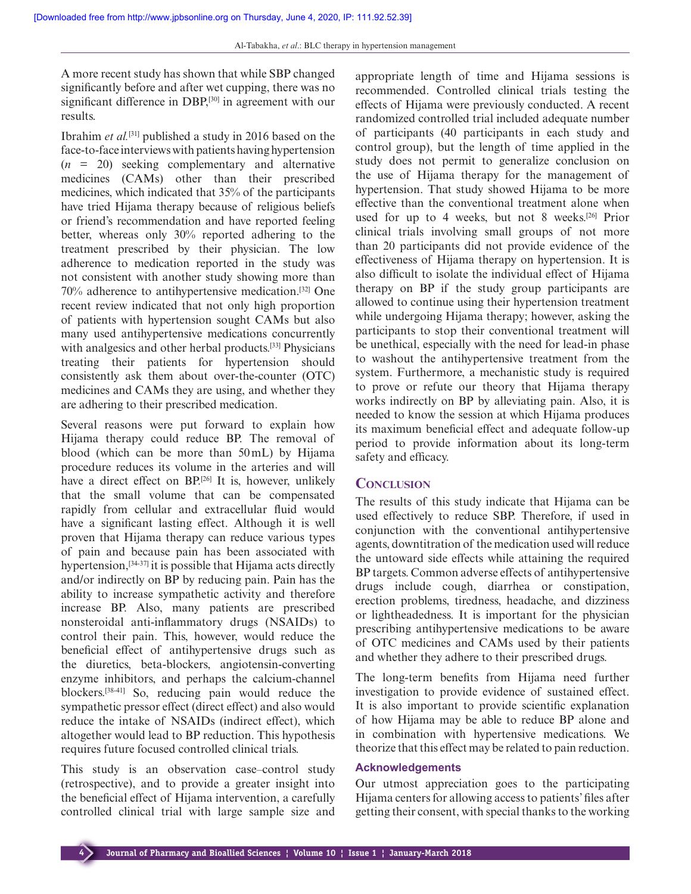A more recent study has shown that while SBP changed significantly before and after wet cupping, there was no significant difference in DBP,<sup>[30]</sup> in agreement with our results.

Ibrahim *et al.*[31] published a study in 2016 based on the face-to-face interviews with patients having hypertension  $(n = 20)$  seeking complementary and alternative medicines (CAMs) other than their prescribed medicines, which indicated that 35% of the participants have tried Hijama therapy because of religious beliefs or friend's recommendation and have reported feeling better, whereas only 30% reported adhering to the treatment prescribed by their physician. The low adherence to medication reported in the study was not consistent with another study showing more than 70% adherence to antihypertensive medication.[32] One recent review indicated that not only high proportion of patients with hypertension sought CAMs but also many used antihypertensive medications concurrently with analgesics and other herbal products.<sup>[33]</sup> Physicians treating their patients for hypertension should consistently ask them about over-the-counter (OTC) medicines and CAMs they are using, and whether they are adhering to their prescribed medication.

Several reasons were put forward to explain how Hijama therapy could reduce BP. The removal of blood (which can be more than 50mL) by Hijama procedure reduces its volume in the arteries and will have a direct effect on BP.<sup>[26]</sup> It is, however, unlikely that the small volume that can be compensated rapidly from cellular and extracellular fluid would have a significant lasting effect. Although it is well proven that Hijama therapy can reduce various types of pain and because pain has been associated with hypertension,<sup>[34-37]</sup> it is possible that Hijama acts directly and/or indirectly on BP by reducing pain. Pain has the ability to increase sympathetic activity and therefore increase BP. Also, many patients are prescribed nonsteroidal anti-inflammatory drugs (NSAIDs) to control their pain. This, however, would reduce the beneficial effect of antihypertensive drugs such as the diuretics, beta-blockers, angiotensin-converting enzyme inhibitors, and perhaps the calcium-channel blockers.[38-41] So, reducing pain would reduce the sympathetic pressor effect (direct effect) and also would reduce the intake of NSAIDs (indirect effect), which altogether would lead to BP reduction. This hypothesis requires future focused controlled clinical trials.

This study is an observation case–control study (retrospective), and to provide a greater insight into the beneficial effect of Hijama intervention, a carefully controlled clinical trial with large sample size and appropriate length of time and Hijama sessions is recommended. Controlled clinical trials testing the effects of Hijama were previously conducted. A recent randomized controlled trial included adequate number of participants (40 participants in each study and control group), but the length of time applied in the study does not permit to generalize conclusion on the use of Hijama therapy for the management of hypertension. That study showed Hijama to be more effective than the conventional treatment alone when used for up to 4 weeks, but not 8 weeks.[26] Prior clinical trials involving small groups of not more than 20 participants did not provide evidence of the effectiveness of Hijama therapy on hypertension. It is also difficult to isolate the individual effect of Hijama therapy on BP if the study group participants are allowed to continue using their hypertension treatment while undergoing Hijama therapy; however, asking the participants to stop their conventional treatment will be unethical, especially with the need for lead-in phase to washout the antihypertensive treatment from the system. Furthermore, a mechanistic study is required to prove or refute our theory that Hijama therapy works indirectly on BP by alleviating pain. Also, it is needed to know the session at which Hijama produces its maximum beneficial effect and adequate follow-up period to provide information about its long-term safety and efficacy.

## **Conclusion**

The results of this study indicate that Hijama can be used effectively to reduce SBP. Therefore, if used in conjunction with the conventional antihypertensive agents, downtitration of the medication used will reduce the untoward side effects while attaining the required BP targets. Common adverse effects of antihypertensive drugs include cough, diarrhea or constipation, erection problems, tiredness, headache, and dizziness or lightheadedness. It is important for the physician prescribing antihypertensive medications to be aware of OTC medicines and CAMs used by their patients and whether they adhere to their prescribed drugs.

The long-term benefits from Hijama need further investigation to provide evidence of sustained effect. It is also important to provide scientific explanation of how Hijama may be able to reduce BP alone and in combination with hypertensive medications. We theorize that this effect may be related to pain reduction.

#### **Acknowledgements**

Our utmost appreciation goes to the participating Hijama centers for allowing access to patients' files after getting their consent, with special thanks to the working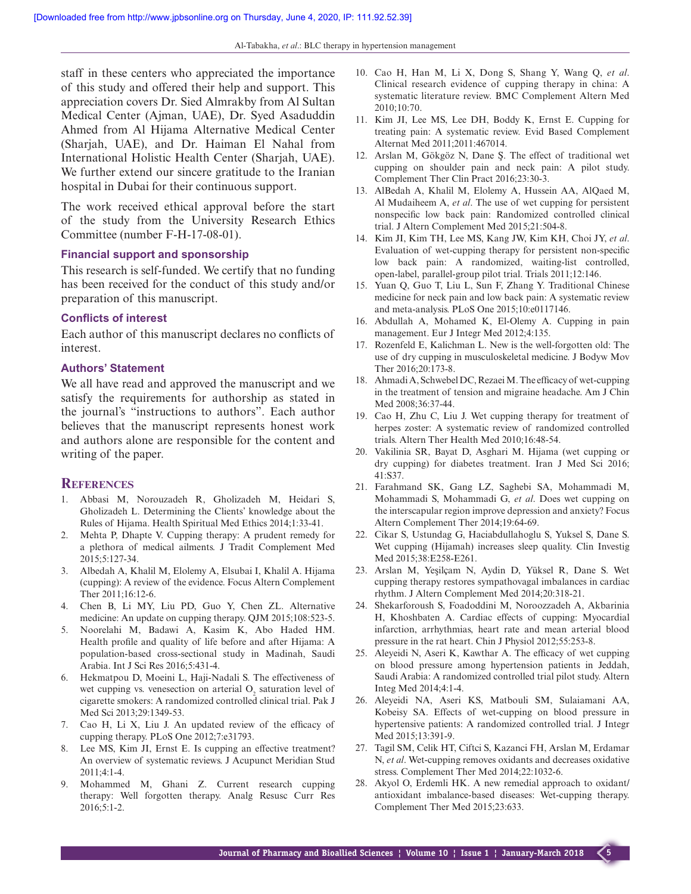staff in these centers who appreciated the importance of this study and offered their help and support. This appreciation covers Dr. Sied Almrakby from Al Sultan Medical Center (Ajman, UAE), Dr. Syed Asaduddin Ahmed from Al Hijama Alternative Medical Center (Sharjah, UAE), and Dr. Haiman El Nahal from International Holistic Health Center (Sharjah, UAE). We further extend our sincere gratitude to the Iranian hospital in Dubai for their continuous support.

The work received ethical approval before the start of the study from the University Research Ethics Committee (number F-H-17-08-01).

## **Financial support and sponsorship**

This research is self-funded. We certify that no funding has been received for the conduct of this study and/or preparation of this manuscript.

### **Conflicts of interest**

Each author of this manuscript declares no conflicts of interest.

## **Authors' Statement**

We all have read and approved the manuscript and we satisfy the requirements for authorship as stated in the journal's "instructions to authors". Each author believes that the manuscript represents honest work and authors alone are responsible for the content and writing of the paper.

#### **References**

- 1. Abbasi M, Norouzadeh R, Gholizadeh M, Heidari S, Gholizadeh L. Determining the Clients' knowledge about the Rules of Hijama. Health Spiritual Med Ethics 2014;1:33-41.
- 2. Mehta P, Dhapte V. Cupping therapy: A prudent remedy for a plethora of medical ailments. J Tradit Complement Med 2015;5:127-34.
- 3. Albedah A, Khalil M, Elolemy A, Elsubai I, Khalil A. Hijama (cupping): A review of the evidence. Focus Altern Complement Ther 2011;16:12-6.
- 4. Chen B, Li MY, Liu PD, Guo Y, Chen ZL. Alternative medicine: An update on cupping therapy. QJM 2015;108:523-5.
- 5. Noorelahi M, Badawi A, Kasim K, Abo Haded HM. Health profile and quality of life before and after Hijama: A population-based cross-sectional study in Madinah, Saudi Arabia. Int J Sci Res 2016;5:431-4.
- 6. Hekmatpou D, Moeini L, Haji-Nadali S. The effectiveness of wet cupping vs. venesection on arterial  $O_2$  saturation level of cigarette smokers: A randomized controlled clinical trial. Pak J Med Sci 2013;29:1349-53.
- 7. Cao H, Li X, Liu J. An updated review of the efficacy of cupping therapy. PLoS One 2012;7:e31793.
- 8. Lee MS, Kim JI, Ernst E. Is cupping an effective treatment? An overview of systematic reviews. J Acupunct Meridian Stud 2011;4:1-4.
- 9. Mohammed M, Ghani Z. Current research cupping therapy: Well forgotten therapy. Analg Resusc Curr Res 2016;5:1-2.
- 10. Cao H, Han M, Li X, Dong S, Shang Y, Wang Q, *et al*. Clinical research evidence of cupping therapy in china: A systematic literature review. BMC Complement Altern Med 2010;10:70.
- 11. Kim JI, Lee MS, Lee DH, Boddy K, Ernst E. Cupping for treating pain: A systematic review. Evid Based Complement Alternat Med 2011;2011:467014.
- 12. Arslan M, Gökgöz N, Dane Ş. The effect of traditional wet cupping on shoulder pain and neck pain: A pilot study. Complement Ther Clin Pract 2016;23:30-3.
- 13. AlBedah A, Khalil M, Elolemy A, Hussein AA, AlQaed M, Al Mudaiheem A, *et al*. The use of wet cupping for persistent nonspecific low back pain: Randomized controlled clinical trial. J Altern Complement Med 2015;21:504-8.
- 14. Kim JI, Kim TH, Lee MS, Kang JW, Kim KH, Choi JY, *et al*. Evaluation of wet-cupping therapy for persistent non-specific low back pain: A randomized, waiting-list controlled, open-label, parallel-group pilot trial. Trials 2011;12:146.
- 15. Yuan Q, Guo T, Liu L, Sun F, Zhang Y. Traditional Chinese medicine for neck pain and low back pain: A systematic review and meta-analysis. PLoS One 2015;10:e0117146.
- 16. Abdullah A, Mohamed K, El-Olemy A. Cupping in pain management. Eur J Integr Med 2012;4:135.
- 17. Rozenfeld E, Kalichman L. New is the well-forgotten old: The use of dry cupping in musculoskeletal medicine. J Bodyw Mov Ther 2016;20:173-8.
- 18. Ahmadi A, Schwebel DC, Rezaei M. The efficacy of wet-cupping in the treatment of tension and migraine headache. Am J Chin Med 2008;36:37-44.
- 19. Cao H, Zhu C, Liu J. Wet cupping therapy for treatment of herpes zoster: A systematic review of randomized controlled trials. Altern Ther Health Med 2010;16:48-54.
- 20. Vakilinia SR, Bayat D, Asghari M. Hijama (wet cupping or dry cupping) for diabetes treatment. Iran J Med Sci 2016;  $41.537$
- 21. Farahmand SK, Gang LZ, Saghebi SA, Mohammadi M, Mohammadi S, Mohammadi G, *et al*. Does wet cupping on the interscapular region improve depression and anxiety? Focus Altern Complement Ther 2014;19:64-69.
- 22. Cikar S, Ustundag G, Haciabdullahoglu S, Yuksel S, Dane S. Wet cupping (Hijamah) increases sleep quality. Clin Investig Med 2015;38:E258-E261.
- 23. Arslan M, Yeşilçam N, Aydin D, Yüksel R, Dane S. Wet cupping therapy restores sympathovagal imbalances in cardiac rhythm. J Altern Complement Med 2014;20:318-21.
- 24. Shekarforoush S, Foadoddini M, Noroozzadeh A, Akbarinia H, Khoshbaten A. Cardiac effects of cupping: Myocardial infarction, arrhythmias, heart rate and mean arterial blood pressure in the rat heart. Chin J Physiol 2012;55:253-8.
- 25. Aleyeidi N, Aseri K, Kawthar A. The efficacy of wet cupping on blood pressure among hypertension patients in Jeddah, Saudi Arabia: A randomized controlled trial pilot study. Altern Integ Med 2014;4:1-4.
- 26. Aleyeidi NA, Aseri KS, Matbouli SM, Sulaiamani AA, Kobeisy SA. Effects of wet-cupping on blood pressure in hypertensive patients: A randomized controlled trial. J Integr Med 2015;13:391-9.
- 27. Tagil SM, Celik HT, Ciftci S, Kazanci FH, Arslan M, Erdamar N, *et al*. Wet-cupping removes oxidants and decreases oxidative stress. Complement Ther Med 2014;22:1032-6.
- 28. Akyol O, Erdemli HK. A new remedial approach to oxidant/ antioxidant imbalance-based diseases: Wet-cupping therapy. Complement Ther Med 2015;23:633.